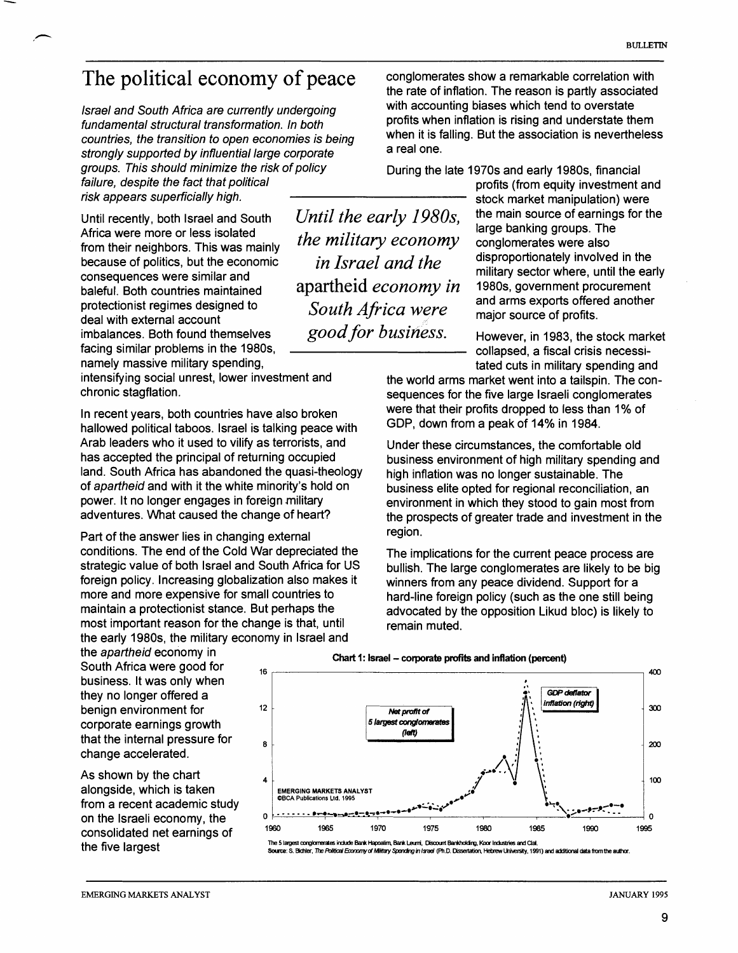## The political economy of peace

 $\overline{\phantom{a}}$ 

lsrael and South Africa are currently undergoing fundamental structural transformation. In both countries, the transition to open economies is being strongly supported by influential large corporate groups. This should minimize the risk of policy failure, despite the fact that political risk appears superficially high.

Until recently, both Israel and South *Until the early 1980s*, the main source of earnings for the large banking groups. The from their neighbors. This was mainly *the military economy* conglomerates were also<br>because of politics, but the economic *in Israel and the* disproportionately involved in the because of politics, but the economic consequences were similar and baleful. Both countries maintained<br>baleful. Both countries maintained apartheid *economy in* 1980s, government procurement<br>and arms exports offered another protectionist regimes designed to  $South Africa were$  and arms exports offered and arms exports offered and arms exports of profits. deal with external account imbalances. Both found themselves *good for business*. However, in 1983, the stock market facing similar problems in the 1980s, Collapsed, a fiscal crisis necessi-

namely massive military spending,<br>intensifying social unrest, lower investment and<br>the world arms market went into a tailsnin. The con-

hallowed political taboos. Israel is talking peace with Arab leaders who it used to vilify as terrorists, and Under these circumstances, the comfortable old<br>has accepted the principal of returning occupied<br>business environment of high military spending land. South Africa has abandoned the quasi-theology high inflation was no longer sustainable. The of apartheid and with it the white minority's hold on business elite onted for regional reconciliation of apartheid and with it the white minority's hold on business elite opted for regional reconciliation, an power. It no longer engages in foreign military environment in which they stood to gain most from power. It no longer engages in foreign military environment in which they stood to gain most from<br>adventures. What caused the change of heart? The prospects of greater trade and investment in th

Part of the answer lies in changing external region. conditions. The end of the Cold War depreciated the The implications for the current peace process are strategic value of both Israel and South Africa for US bullish. The large conglomerates are likely to be big strategic value of both Israel and South Africa for US bullish. The large conglomerates are likely to be big<br>foreign policy. Increasing globalization also makes it bullish. The large conglomerates are likely to be big foreign policy. Increasing globalization also makes it winners from any peace dividend. Support for a more and more expensive for small countries to hard-line foreign policy (such as the one still being<br>maintain a protectionist stance. But perhaps the advocated by the opposition Likud bloc) is likely to most important reason for the change is that, until remain muted. the early 1980s, the military economy in Israel and

the apartheid economy in South Africa were good for business. It was only when they no longer offered a benign environment for corporate earnings growth that the internal pressure for change accelerated.

As shown by the chart alongside, which is taken from a recent academic study on the Israeli economv. the

 $the$  military economy conglomerates were also

conglomerates show a remarkable correlation with the rate of inflation. The reason is partly associated with accounting biases which tend to overstate profits when inflation is rising and understate them when it is falling. But the association is nevertheless a real one.

During the late 1970s and early 1980s, financial

profits (from equity investment and stock market manipulation) were military sector where, until the early

intensifying social unrest, lower investment and the world arms market went into a tailspin. The con-<br>sequences for the five large Israeli conglomerates sequences for the five large Israeli conglomerates In recent years, both countries have also broken were that their profits dropped to less than 1% of<br>
Bollowed political tabose, Israel is talking peace with GDP, down from a peak of 14% in 1984.

> business environment of high military spending and the prospects of greater trade and investment in the

> advocated by the opposition Likud bloc) is likely to



**Chart 1: Israel - corporate profits and inflation (percent)** 

The 5 Iargest conglomerates include Bank Hapositim, Bank Leurni, Discount Bankholding, Koor Industries and Clair<br>
Source: S. Bichler, The Political Economy of Military Spending in Israel (Ph.D. Dissentation, Hebrew Univers **Source: S. Bichler, The Political Economy of Military Spending in Israel (Ph.D. Dissertation, Hebrew University, 1991) and additional data from the**